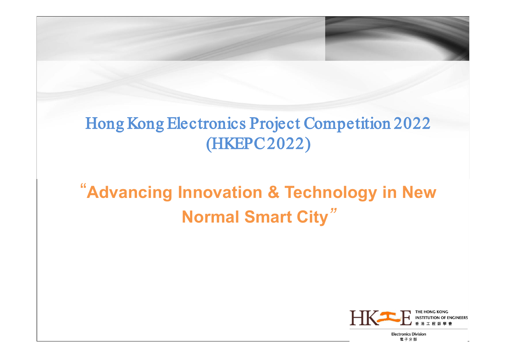# Hong Kong Electronics Project Competition 2022 (HKEPC2022)

# "**Advancing Innovation & Technology in New Normal Smart City***"*

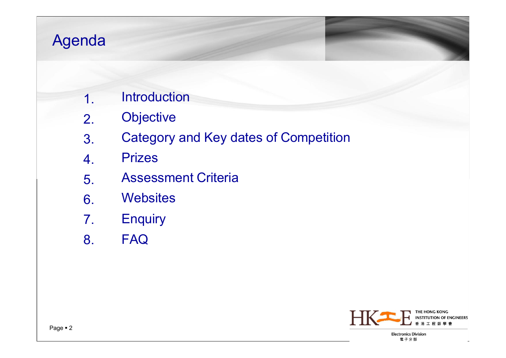## Agenda

- 1. **Introduction**
- 2. **Objective**
- 3. Category and Key dates of Competition
- 4. Prizes
- 5. Assessment Criteria
- 6. **Websites**
- 7. **Enquiry**
- 8. FAQ

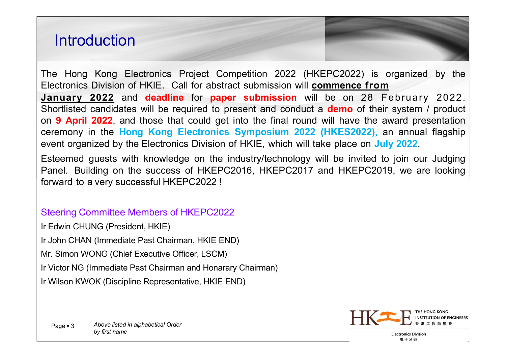### **Introduction**

The Hong Kong Electronics Project Competition 2022 (HKEPC2022) is organized by the Electronics Division of HKIE. Call for abstract submission will **commence from January 2022** and **deadline** for **paper submission** will be on 28 February 2022. Shortlisted candidates will be required to present and conduct a **demo** of their system / product on **9 April 2022**, and those that could get into the final round will have the award presentation ceremony in the **Hong Kong Electronics Symposium 2022 (HKES2022),** an annual flagship event organized by the Electronics Division of HKIE, which will take place on **July 2022**.

Esteemed guests with knowledge on the industry/technology will be invited to join our Judging Panel. Building on the success of HKEPC2016, HKEPC2017 and HKEPC2019, we are looking forward to a very successful HKEPC2022 !

#### Steering Committee Members of HKEPC2022

Ir Edwin CHUNG (President, HKIE)

Ir John CHAN (Immediate Past Chairman, HKIE END)

Mr. Simon WONG (Chief Executive Officer, LSCM)

Ir Victor NG (Immediate Past Chairman and Honarary Chairman)

Ir Wilson KWOK (Discipline Representative, HKIE END)

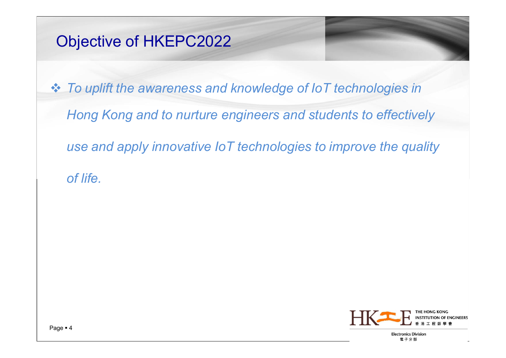### Objective of HKEPC2022

 *To uplift the awareness and knowledge of IoT technologies in Hong Kong and to nurture engineers and students to effectively use and apply innovative IoT technologies to improve the quality of life.*

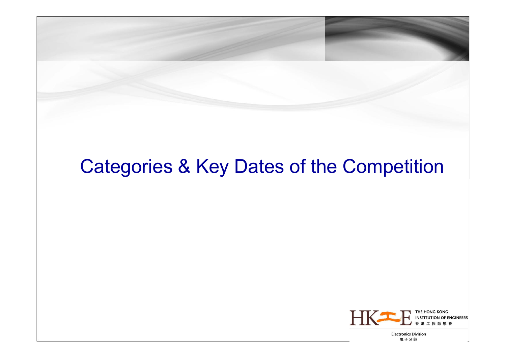# Categories & Key Dates of the Competition

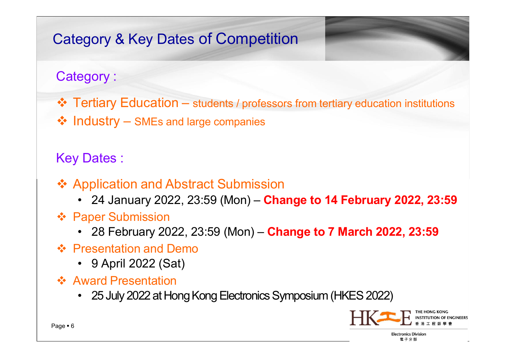### Category & Key Dates of Competition

### Category :

- $\cdot \cdot$  **Tertiary Education** students / professors from tertiary education institutions
- ❖ Industry SMEs and large companies

#### Key Dates :

- ❖ Application and Abstract Submission
	- 24 January 2022, 23:59 (Mon) **Change to 14 February 2022, 23:59**
- ❖ Paper Submission
	- 28 February 2022, 23:59 (Mon) **Change to 7 March 2022, 23:59**
- ❖ Presentation and Demo
	- 9 April 2022 (Sat)
- ❖ Award Presentation
	- 25 July 2022 at Hong Kong Electronics Symposium (HKES 2022)

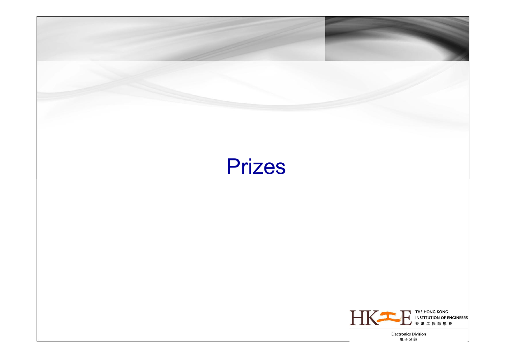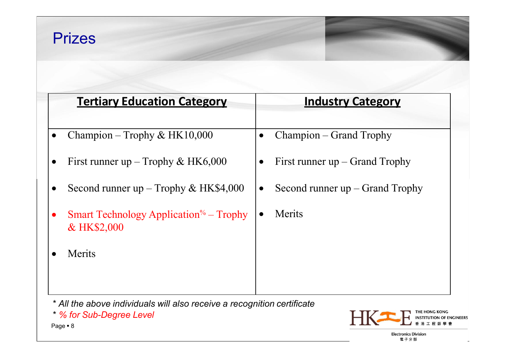### Prizes

|           | <b>Tertiary Education Category</b>                               |           | <b>Industry Category</b>          |
|-----------|------------------------------------------------------------------|-----------|-----------------------------------|
|           |                                                                  |           |                                   |
| $\bullet$ | Champion – Trophy & HK10,000                                     | $\bullet$ | Champion – Grand Trophy           |
|           | First runner up – Trophy & HK6,000                               |           | First runner $up$ – Grand Trophy  |
|           | Second runner up $-$ Trophy & HK\$4,000                          | $\bullet$ | Second runner $up$ – Grand Trophy |
|           | <b>Smart Technology Application</b> $\%$ – Trophy<br>& HK\$2,000 |           | Merits                            |
|           | Merits                                                           |           |                                   |
|           |                                                                  |           |                                   |
|           |                                                                  |           |                                   |

\* *All the above individuals will also receive a recognition certificate*

\* *% for Sub-Degree Level*



電子分部

Page = 8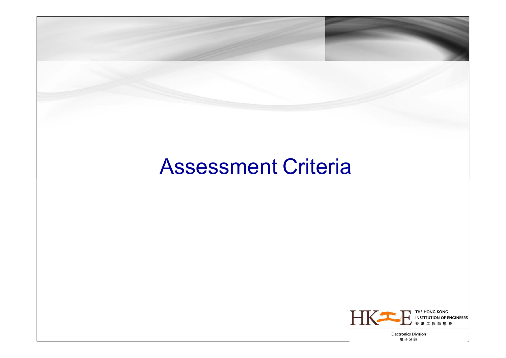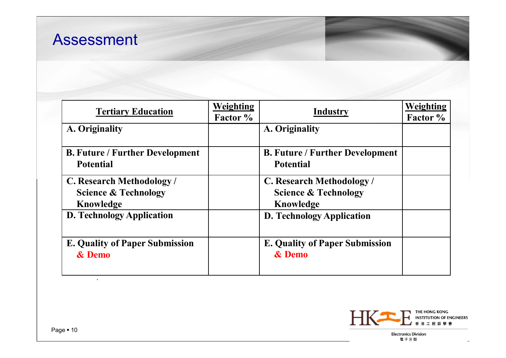| <b>Tertiary Education</b>                                                | <b>Weighting</b><br>Factor % | Industry                                                                 | Weighting<br>Factor % |
|--------------------------------------------------------------------------|------------------------------|--------------------------------------------------------------------------|-----------------------|
| A. Originality                                                           |                              | A. Originality                                                           |                       |
| <b>B. Future / Further Development</b><br><b>Potential</b>               |                              | <b>B. Future / Further Development</b><br><b>Potential</b>               |                       |
| C. Research Methodology/<br><b>Science &amp; Technology</b><br>Knowledge |                              | C. Research Methodology/<br><b>Science &amp; Technology</b><br>Knowledge |                       |
| <b>D. Technology Application</b>                                         |                              | <b>D. Technology Application</b>                                         |                       |
| <b>E. Quality of Paper Submission</b><br>& Demo                          |                              | <b>E. Quality of Paper Submission</b><br>& Demo                          |                       |





電子分部

*.*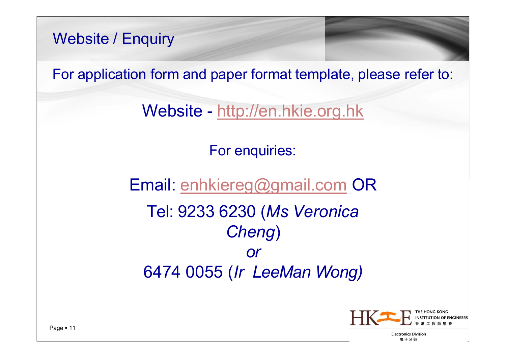Website / Enquiry

For application form and paper format template, please refer to:

Website - [http://en.hkie.org.hk](http://en.hkie.org.hk/)

For enquiries:

Email: [enhkiereg@gmail.com](mailto:enhkiereg@gmail.com) OR Tel: 9233 6230 (*Ms Veronica Cheng*) *or*  6474 0055 (*Ir LeeMan Wong)*

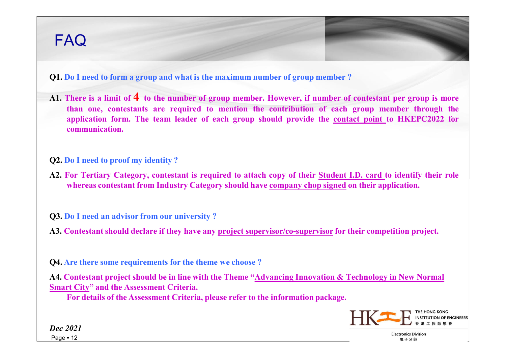### FAQ

**Q1. Do I need to form a group and what is the maximum number of group member ?**

- A1. There is a limit of 4 to the number of group member. However, if number of contestant per group is more **than one, contestants are required to mention the contribution of each group member through the application form. The team leader of each group should provide the contact point to HKEPC2022 for communication.**
- **Q2. Do I need to proof my identity ?**
- A2. For Tertiary Category, contestant is required to attach copy of their Student I.D. card to identify their role **whereas contestant from Industry Category should have company chop signed on their application.**

**Q3. Do I need an advisor from our university ?**

**A3. Contestant should declare if they have any project supervisor/co-supervisor for their competition project.**

**Q4. Are there some requirements for the theme we choose ?**

**A4. Contestant project should be in line with the Theme "Advancing Innovation & Technology in New Normal Smart City" and the Assessment Criteria.**

**For details of the Assessment Criteria, please refer to the information package.**



**Electronics Division** 電子分部

*Dec 2021* Page  $\blacksquare$  12